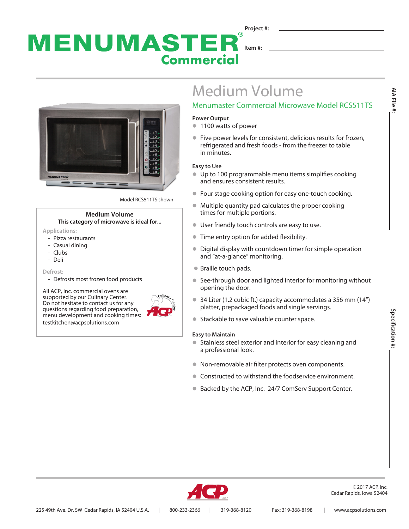### **Project #:**  $\circledR$ MENUMASTER **Item #: Commercial**



Model RCS511TS shown

#### **Medium Volume This category of microwave is ideal for...**

- **Applications:** 
	- Pizza restaurants
	- Casual dining
	- Clubs
	- Deli

**Defrost:**

- Defrosts most frozen food products

All ACP, Inc. commercial ovens are supported by our Culinary Center. Do not hesitate to contact us for any questions regarding food preparation, menu development and cooking times: testkitchen@acpsolutions.com



# Medium Volume

## Menumaster Commercial Microwave Model RCS511TS

#### **Power Output**

- **1100 watts of power**
- Five power levels for consistent, delicious results for frozen, refrigerated and fresh foods - from the freezer to table in minutes.

#### **Easy to Use**

- $\bullet$  Up to 100 programmable menu items simplifies cooking and ensures consistent results.
- Four stage cooking option for easy one-touch cooking.
- $\bullet$  Multiple quantity pad calculates the proper cooking times for multiple portions.
- **User friendly touch controls are easy to use.**
- **Time entry option for added flexibility.**
- Digital display with countdown timer for simple operation and "at-a-glance" monitoring.
- Braille touch pads.
- See-through door and lighted interior for monitoring without opening the door.
- $\bullet$  34 Liter (1.2 cubic ft.) capacity accommodates a 356 mm (14") platter, prepackaged foods and single servings.
- Stackable to save valuable counter space.

#### **Easy to Maintain**

- Stainless steel exterior and interior for easy cleaning and a professional look.
- $\bullet$  Non-removable air filter protects oven components.
- Constructed to withstand the foodservice environment.
- Backed by the ACP, Inc. 24/7 ComServ Support Center.



©2017 ACP, Inc. Cedar Rapids, Iowa 52404